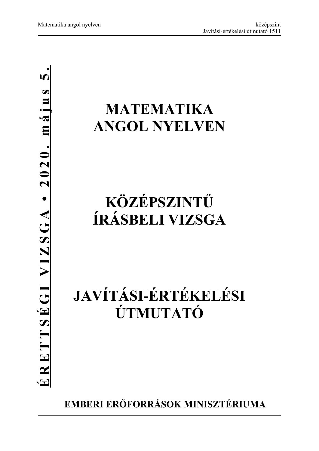## **MATEMATIKA ANGOL NYELVEN**

## **KÖZÉPSZINTŰ ÍRÁSBELI VIZSGA**

# **JAVÍTÁSI-ÉRTÉKELÉSI ÚTMUTATÓ**

**EMBERI ERŐFORRÁSOK MINISZTÉRIUMA**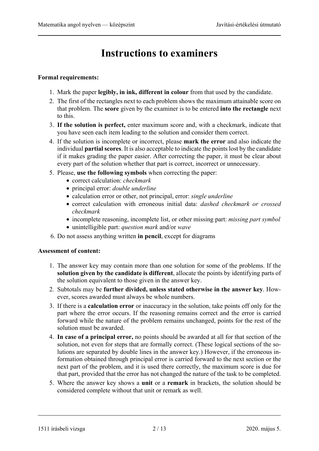## **Instructions to examiners**

#### **Formal requirements:**

- 1. Mark the paper **legibly, in ink, different in colour** from that used by the candidate.
- 2. The first of the rectangles next to each problem shows the maximum attainable score on that problem. The **score** given by the examiner is to be entered **into the rectangle** next to this.
- 3. **If the solution is perfect,** enter maximum score and, with a checkmark, indicate that you have seen each item leading to the solution and consider them correct.
- 4. If the solution is incomplete or incorrect, please **mark the error** and also indicate the individual **partial scores**. It is also acceptable to indicate the points lost by the candidate if it makes grading the paper easier. After correcting the paper, it must be clear about every part of the solution whether that part is correct, incorrect or unnecessary.
- 5. Please, **use the following symbols** when correcting the paper:
	- correct calculation: *checkmark*
	- principal error: *double underline*
	- calculation error or other, not principal, error: *single underline*
	- correct calculation with erroneous initial data: *dashed checkmark or crossed checkmark*
	- incomplete reasoning, incomplete list, or other missing part: *missing part symbol*
	- unintelligible part: *question mark* and/or *wave*
- 6. Do not assess anything written **in pencil**, except for diagrams

#### **Assessment of content:**

- 1. The answer key may contain more than one solution for some of the problems. If the **solution given by the candidate is different**, allocate the points by identifying parts of the solution equivalent to those given in the answer key.
- 2. Subtotals may be **further divided, unless stated otherwise in the answer key**. However, scores awarded must always be whole numbers.
- 3. If there is a **calculation error** or inaccuracy in the solution, take points off only for the part where the error occurs. If the reasoning remains correct and the error is carried forward while the nature of the problem remains unchanged, points for the rest of the solution must be awarded.
- 4. **In case of a principal error,** no points should be awarded at all for that section of the solution, not even for steps that are formally correct. (These logical sections of the solutions are separated by double lines in the answer key.) However, if the erroneous information obtained through principal error is carried forward to the next section or the next part of the problem, and it is used there correctly, the maximum score is due for that part, provided that the error has not changed the nature of the task to be completed.
- 5. Where the answer key shows a **unit** or a **remark** in brackets, the solution should be considered complete without that unit or remark as well.

<sup>1511</sup> írásbeli vizsga 2 / 13 2020. május 5.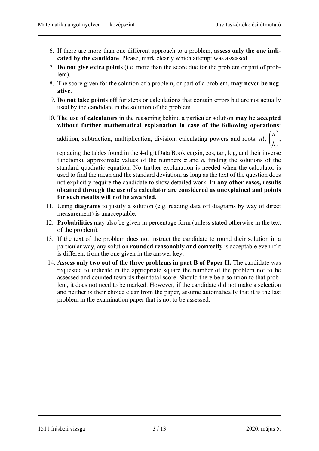$\left.\rule{0pt}{12pt}\right)$ 

 $\setminus$  $\overline{\phantom{a}}$  $\mathsf{I}$  $\overline{\phantom{0}}$ 

ſ *k*  $\binom{n}{r}$ ,

- 6. If there are more than one different approach to a problem, **assess only the one indicated by the candidate**. Please, mark clearly which attempt was assessed.
- 7. **Do not give extra points** (i.e. more than the score due for the problem or part of problem).
- 8. The score given for the solution of a problem, or part of a problem, **may never be negative**.
- 9. **Do not take points off** for steps or calculations that contain errors but are not actually used by the candidate in the solution of the problem.
- 10. **The use of calculators** in the reasoning behind a particular solution **may be accepted without further mathematical explanation in case of the following operations**:

addition, subtraction, multiplication, division, calculating powers and roots, *n*!,

replacing the tables found in the 4-digit Data Booklet (sin, cos, tan, log, and their inverse functions), approximate values of the numbers  $\pi$  and  $e$ , finding the solutions of the standard quadratic equation. No further explanation is needed when the calculator is used to find the mean and the standard deviation, as long as the text of the question does not explicitly require the candidate to show detailed work. **In any other cases, results obtained through the use of a calculator are considered as unexplained and points for such results will not be awarded.**

- 11. Using **diagrams** to justify a solution (e.g. reading data off diagrams by way of direct measurement) is unacceptable.
- 12. **Probabilities** may also be given in percentage form (unless stated otherwise in the text of the problem).
- 13. If the text of the problem does not instruct the candidate to round their solution in a particular way, any solution **rounded reasonably and correctly** is acceptable even if it is different from the one given in the answer key.
- 14. **Assess only two out of the three problems in part B of Paper II.** The candidate was requested to indicate in the appropriate square the number of the problem not to be assessed and counted towards their total score. Should there be a solution to that problem, it does not need to be marked. However, if the candidate did not make a selection and neither is their choice clear from the paper, assume automatically that it is the last problem in the examination paper that is not to be assessed.

1511 írásbeli vizsga 3 / 13 2020. május 5.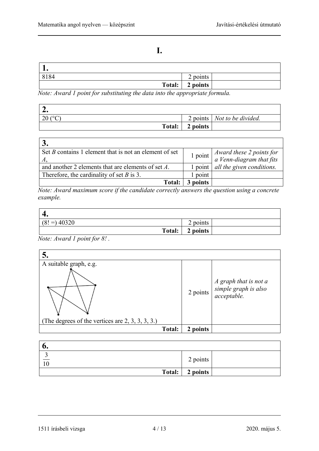$\overline{\phantom{0}}$ 

### **I.**

| -≖•    |          |
|--------|----------|
| 8184   | 2 points |
| Total: | 2 points |

*Note: Award 1 point for substituting the data into the appropriate formula.* 

| –∙                 |          |                                      |
|--------------------|----------|--------------------------------------|
| 20 ( $^{\circ}$ C) |          | 2 points   <i>Not to be divided.</i> |
| Total:             | 2 points |                                      |

| Set <i>B</i> contains 1 element that is not an element of set |                   | 1 point $\begin{cases} \text{Award these 2 points for} \\ \text{a Venn-diagram that fits} \end{cases}$ |
|---------------------------------------------------------------|-------------------|--------------------------------------------------------------------------------------------------------|
| and another 2 elements that are elements of set A.            | $1$ point $\vert$ | all the given conditions.                                                                              |
| Therefore, the cardinality of set $B$ is 3.                   | point             |                                                                                                        |
| Total:                                                        | 3 points          |                                                                                                        |

*Note: Award maximum score if the candidate correctly answers the question using a concrete example.* 

| ᠇.             |        |          |  |
|----------------|--------|----------|--|
| $(8! =) 40320$ |        | 2 points |  |
|                | Total: | 2 points |  |

*Note: Award 1 point for 8! .* 

| 5.                                                                            |               |          |                                                                                           |
|-------------------------------------------------------------------------------|---------------|----------|-------------------------------------------------------------------------------------------|
| A suitable graph, e.g.<br>(The degrees of the vertices are $2, 3, 3, 3, 3$ .) |               |          | $2 points \begin{cases} A graph that is not asimple graph is alsoacceptable. \end{cases}$ |
|                                                                               | <b>Total:</b> | 2 points |                                                                                           |

| o.                   |                   |  |
|----------------------|-------------------|--|
| ັ<br>$\overline{10}$ | 2 points          |  |
|                      | Total:   2 points |  |

<sup>1511</sup> írásbeli vizsga 4 / 13 2020. május 5.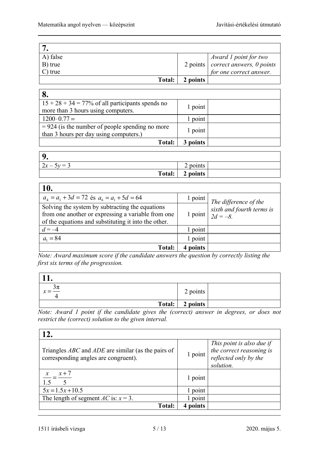| A) false   |          | Award 1 point for two                      |
|------------|----------|--------------------------------------------|
| B) true    |          | 2 points $\vert$ correct answers, 0 points |
| $C$ ) true |          | for one correct answer.                    |
| Total:     | 2 points |                                            |

| 8.                                                                                          |          |  |
|---------------------------------------------------------------------------------------------|----------|--|
| $15 + 28 + 34 = 77\%$ of all participants spends no                                         | 1 point  |  |
| more than 3 hours using computers.                                                          |          |  |
| $1200 \cdot 0.77 =$                                                                         | 1 point  |  |
| $= 924$ (is the number of people spending no more<br>than 3 hours per day using computers.) | 1 point  |  |
| <b>Total:</b>                                                                               | 3 points |  |

| $\mathbf 0$          |             |  |
|----------------------|-------------|--|
| $5y = 3$<br>$2x - 5$ | points<br>∸ |  |
| Total: $\vert$       | 2 points    |  |

| 10.                                                                                                                                                           |          |                                                                                       |
|---------------------------------------------------------------------------------------------------------------------------------------------------------------|----------|---------------------------------------------------------------------------------------|
| $a_4 = a_1 + 3d = 72$ és $a_6 = a_1 + 5d = 64$                                                                                                                |          | $\frac{1 \text{ point}}{1}$ The difference of the                                     |
| Solving the system by subtracting the equations<br>from one another or expressing a variable from one<br>of the equations and substituting it into the other. |          | 1 point $\begin{vmatrix} \sinh \ and \ found \end{vmatrix}$ sixth and fourth terms is |
| $d = -4$                                                                                                                                                      | point    |                                                                                       |
| $a_1 = 84$                                                                                                                                                    | 1 point  |                                                                                       |
| <b>Total:</b>                                                                                                                                                 | 4 points |                                                                                       |

*Note: Award maximum score if the candidate answers the question by correctly listing the first six terms of the progression.* 

| .                     |                   |  |
|-----------------------|-------------------|--|
| $3\pi$<br>$\lambda$ = | 2 points          |  |
|                       | Total:   2 points |  |

*Note: Award 1 point if the candidate gives the (correct) answer in degrees, or does not restrict the (correct) solution to the given interval.* 

| 12.                                                                                                      |         |                                                                                             |
|----------------------------------------------------------------------------------------------------------|---------|---------------------------------------------------------------------------------------------|
| Triangles <i>ABC</i> and <i>ADE</i> are similar (as the pairs of<br>corresponding angles are congruent). | 1 point | This point is also due if<br>the correct reasoning is<br>reflected only by the<br>solution. |
| $x+7$                                                                                                    | 1 point |                                                                                             |
| $5x = 1.5x + 10.5$                                                                                       | 1 point |                                                                                             |
| The length of segment <i>AC</i> is: $x = 3$ .                                                            | 1 point |                                                                                             |
| <b>Total:</b>                                                                                            | points  |                                                                                             |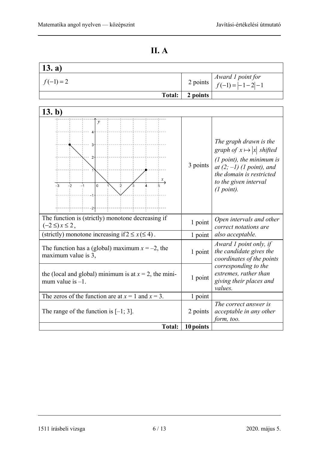$\mathbf{r}$ 

|--|--|

| 13. a)                                                                          |           |                                                                                                                                                                                              |
|---------------------------------------------------------------------------------|-----------|----------------------------------------------------------------------------------------------------------------------------------------------------------------------------------------------|
| $f(-1) = 2$                                                                     | 2 points  | Award 1 point for<br>$f(-1) =  -1-2 -1$                                                                                                                                                      |
| <b>Total:</b>                                                                   | 2 points  |                                                                                                                                                                                              |
|                                                                                 |           |                                                                                                                                                                                              |
| 13. b)                                                                          |           |                                                                                                                                                                                              |
| $\mathcal{Y}$<br>2<br>$-3$<br>$-2$<br>0<br>$-1$<br>2                            | 3 points  | The graph drawn is the<br>graph of $x \mapsto  x $ shifted<br>$(1 point)$ , the minimum is<br>at $(2, -1)$ (1 point), and<br>the domain is restricted<br>to the given interval<br>(1 point). |
| The function is (strictly) monotone decreasing if<br>$(-2 \leq) x \leq 2$ ,     | 1 point   | Open intervals and other<br>correct notations are                                                                                                                                            |
| (strictly) monotone increasing if $2 \le x \le 4$ ).                            | 1 point   | also acceptable.                                                                                                                                                                             |
| The function has a (global) maximum $x = -2$ , the<br>maximum value is 3,       | 1 point   | Award 1 point only, if<br>the candidate gives the<br>coordinates of the points                                                                                                               |
| the (local and global) minimum is at $x = 2$ , the mini-<br>mum value is $-1$ . | 1 point   | corresponding to the<br>extremes, rather than<br>giving their places and<br>values.                                                                                                          |
| The zeros of the function are at $x = 1$ and $x = 3$ .                          | 1 point   |                                                                                                                                                                                              |
| The range of the function is $[-1, 3]$ .                                        | 2 points  | The correct answer is<br>acceptable in any other<br>form, too.                                                                                                                               |
| <b>Total:</b>                                                                   | 10 points |                                                                                                                                                                                              |

<sup>1511</sup> írásbeli vizsga 6 / 13 2020. május 5.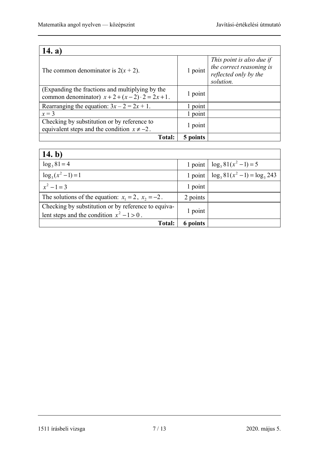| 14. a)                                                                                                      |          |                                                                                             |
|-------------------------------------------------------------------------------------------------------------|----------|---------------------------------------------------------------------------------------------|
| The common denominator is $2(x + 2)$ .                                                                      | 1 point  | This point is also due if<br>the correct reasoning is<br>reflected only by the<br>solution. |
| (Expanding the fractions and multiplying by the<br>common denominator) $x + 2 + (x - 2) \cdot 2 = 2x + 1$ . | 1 point  |                                                                                             |
| Rearranging the equation: $3x - 2 = 2x + 1$ .                                                               | point    |                                                                                             |
| $x = 3$                                                                                                     | 1 point  |                                                                                             |
| Checking by substitution or by reference to<br>equivalent steps and the condition $x \neq -2$ .             | 1 point  |                                                                                             |
| Total:                                                                                                      | 5 points |                                                                                             |

| 14. b)                                                                                              |          |                                 |
|-----------------------------------------------------------------------------------------------------|----------|---------------------------------|
| $\log_3 81 = 4$                                                                                     | 1 point  | $\log_3 81(x^2-1) = 5$          |
| $\log_3(x^2-1)=1$                                                                                   | 1 point  | $\log_3 81(x^2-1) = \log_3 243$ |
| $x^2-1=3$                                                                                           | 1 point  |                                 |
| The solutions of the equation: $x_1 = 2$ , $x_2 = -2$ .                                             | 2 points |                                 |
| Checking by substitution or by reference to equiva-<br>lent steps and the condition $x^2 - 1 > 0$ . | 1 point  |                                 |
| <b>Total:</b>                                                                                       | 6 points |                                 |

1511 írásbeli vizsga 7 / 13 2020. május 5.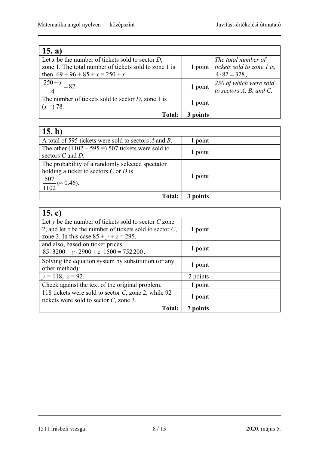| 15. a)                                                                                                                                              |          |                                                                                       |
|-----------------------------------------------------------------------------------------------------------------------------------------------------|----------|---------------------------------------------------------------------------------------|
| Let x be the number of tickets sold to sector $D$ ,<br>zone 1. The total number of tickets sold to zone 1 is<br>then $69 + 96 + 85 + x = 250 + x$ . |          | The total number of<br>1 point $ $ tickets sold to zone 1 is,<br>$4 \cdot 82 = 328$ , |
| $\frac{250 + x}{250} = 82$                                                                                                                          | 1 point  | 250 of which were sold<br>to sectors A, B, and C.                                     |
| The number of tickets sold to sector $D$ , zone 1 is<br>$(x=) 78.$                                                                                  | 1 point  |                                                                                       |
| <b>Total:</b>                                                                                                                                       | 3 points |                                                                                       |

| 15. b)                                               |          |  |
|------------------------------------------------------|----------|--|
| A total of 595 tickets were sold to sectors A and B. | point    |  |
| The other $(1102 - 595) = 507$ tickets were sold to  | 1 point  |  |
| sectors $C$ and $D$ .                                |          |  |
| The probability of a randomly selected spectator     |          |  |
| holding a ticket to sectors $C$ or $D$ is            |          |  |
| $\frac{507}{1102}$ ( $\approx$ 0.46).                | 1 point  |  |
|                                                      |          |  |
| <b>Total:</b>                                        | 3 points |  |

| 15. c)                                                     |          |  |
|------------------------------------------------------------|----------|--|
| Let $y$ be the number of tickets sold to sector $C$ zone   |          |  |
| 2, and let z be the number of tickets sold to sector $C$ , | 1 point  |  |
| zone 3. In this case $85 + y + z = 295$ ,                  |          |  |
| and also, based on ticket prices,                          |          |  |
| $85.3200 + y.2900 + z.1500 = 752200$ .                     | 1 point  |  |
| Solving the equation system by substitution (or any        |          |  |
| other method):                                             | 1 point  |  |
| $y = 118$ , $z = 92$ .                                     | 2 points |  |
| Check against the text of the original problem.            | 1 point  |  |
| 118 tickets were sold to sector C, zone 2, while 92        |          |  |
| tickets were sold to sector $C$ , zone 3.                  | 1 point  |  |
| <b>Total:</b>                                              | 7 points |  |

1511 írásbeli vizsga 8 / 13 2020. május 5.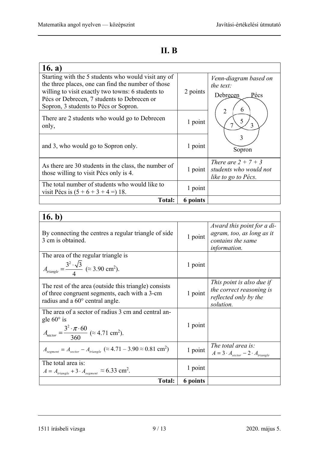### **II. B**

| 16. a)                                                                                                                                                                                                                                                 |          |                                                                        |
|--------------------------------------------------------------------------------------------------------------------------------------------------------------------------------------------------------------------------------------------------------|----------|------------------------------------------------------------------------|
| Starting with the 5 students who would visit any of<br>the three places, one can find the number of those<br>willing to visit exactly two towns: 6 students to<br>Pécs or Debrecen, 7 students to Debrecen or<br>Sopron, 3 students to Pécs or Sopron. | 2 points | Venn-diagram based on<br>the text:<br>Debrecen<br>Pécs<br>6            |
| There are 2 students who would go to Debrecen<br>only,                                                                                                                                                                                                 | 1 point  | $\overline{2}$<br>5                                                    |
| and 3, who would go to Sopron only.                                                                                                                                                                                                                    | 1 point  | 3<br>Sopron                                                            |
| As there are 30 students in the class, the number of<br>those willing to visit Pécs only is 4.                                                                                                                                                         | 1 point  | There are $2 + 7 + 3$<br>students who would not<br>like to go to Pécs. |
| The total number of students who would like to<br>visit Pécs is $(5 + 6 + 3 + 4 = 18$ .                                                                                                                                                                | 1 point  |                                                                        |
| <b>Total:</b>                                                                                                                                                                                                                                          | 6 points |                                                                        |

### **16. b)**

| 1V. V)                                                                                                                                                                   |          |                                                                                                     |
|--------------------------------------------------------------------------------------------------------------------------------------------------------------------------|----------|-----------------------------------------------------------------------------------------------------|
| By connecting the centres a regular triangle of side<br>3 cm is obtained.                                                                                                | 1 point  | Award this point for a di-<br>agram, too, as long as it<br>contains the same<br><i>information.</i> |
| The area of the regular triangle is                                                                                                                                      | 1 point  |                                                                                                     |
| $A_{triangle} = \frac{3^2 \cdot \sqrt{3}}{4}$ ( $\approx$ 3.90 cm <sup>2</sup> ).                                                                                        |          |                                                                                                     |
| The rest of the area (outside this triangle) consists<br>of three congruent segments, each with a 3-cm<br>radius and a $60^{\circ}$ central angle.                       | 1 point  | This point is also due if<br>the correct reasoning is<br>reflected only by the<br>solution.         |
| The area of a sector of radius 3 cm and central an-<br>gle $60^\circ$ is<br>$A_{\text{sector}} = \frac{3^2 \cdot \pi \cdot 60}{360}$ ( $\approx 4.71$ cm <sup>2</sup> ). | 1 point  |                                                                                                     |
| $A_{segment} = A_{sector} - A_{triangle} (\approx 4.71 - 3.90 \approx 0.81 \text{ cm}^2)$                                                                                | 1 point  | The total area is:<br>$A = 3 \cdot A_{sector} - 2 \cdot A_{triangle}$                               |
| The total area is:                                                                                                                                                       | 1 point  |                                                                                                     |
| $A = A_{triangle} + 3 \cdot A_{segment} \approx 6.33$ cm <sup>2</sup> .                                                                                                  |          |                                                                                                     |
| <b>Total:</b>                                                                                                                                                            | 6 points |                                                                                                     |

1511 írásbeli vizsga 9 / 13 2020. május 5.

ヿ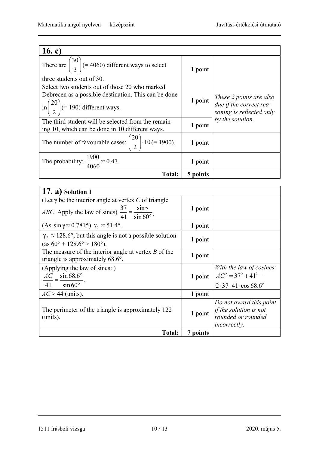| 16. c)                                                                                   |          |                                                     |
|------------------------------------------------------------------------------------------|----------|-----------------------------------------------------|
| There are $\binom{30}{3}$ (= 4060) different ways to select<br>three students out of 30. | 1 point  |                                                     |
| Select two students out of those 20 who marked                                           |          |                                                     |
| Debrecen as a possible destination. This can be done                                     |          | These 2 points are also                             |
| in $\binom{20}{2}$ (= 190) different ways.                                               | 1 point  | due if the correct rea-<br>soning is reflected only |
| The third student will be selected from the remain-                                      |          | by the solution.                                    |
| ing 10, which can be done in 10 different ways.                                          | 1 point  |                                                     |
| The number of favourable cases: $\binom{20}{2} \cdot 10 (= 1900)$ .                      | 1 point  |                                                     |
| The probability: $\frac{1900}{4060} \approx 0.47$ .                                      | 1 point  |                                                     |
| <b>Total:</b>                                                                            | 5 points |                                                     |

| $(17. a)$ Solution 1                                                                                                       |          |                                                                                                |
|----------------------------------------------------------------------------------------------------------------------------|----------|------------------------------------------------------------------------------------------------|
| (Let $\gamma$ be the interior angle at vertex C of triangle                                                                |          |                                                                                                |
| <i>ABC</i> . Apply the law of sines) $\frac{37}{41} = \frac{\sin \gamma}{\sin 60^\circ}$ .                                 | 1 point  |                                                                                                |
| (As $\sin \gamma \approx 0.7815$ ) $\gamma_1 \approx 51.4^\circ$ .                                                         | 1 point  |                                                                                                |
| $\gamma$ , $\approx$ 128.6°, but this angle is not a possible solution<br>$(as 60^{\circ} + 128.6^{\circ} > 180^{\circ}).$ | 1 point  |                                                                                                |
| The measure of the interior angle at vertex $B$ of the<br>triangle is approximately 68.6°.                                 | 1 point  |                                                                                                |
| (Applying the law of sines:)<br>$\frac{AC}{41} = \frac{\sin 68.6^{\circ}}{\sin 60^{\circ}}.$                               |          | With the law of cosines:<br>1 point $AC^2 = 37^2 + 41^2 -$<br>$2.37.41 \cos 68.6^{\circ}$      |
| $AC \approx 44$ (units).                                                                                                   | 1 point  |                                                                                                |
| The perimeter of the triangle is approximately 122<br>(units).                                                             | 1 point  | Do not award this point<br>if the solution is not<br>rounded or rounded<br><i>incorrectly.</i> |
| <b>Total:</b>                                                                                                              | 7 points |                                                                                                |

<sup>1511</sup> írásbeli vizsga 10 / 13 2020. május 5.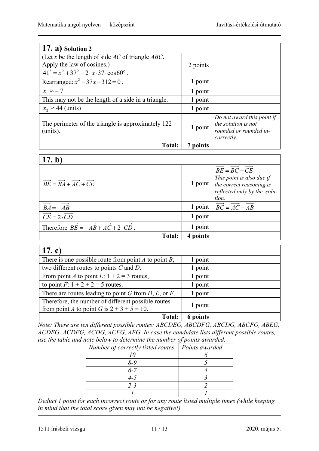| $(17. a)$ Solution 2                                           |          |                                                                                           |
|----------------------------------------------------------------|----------|-------------------------------------------------------------------------------------------|
| (Let x be the length of side $AC$ of triangle $ABC$ .          |          |                                                                                           |
| Apply the law of cosines.)                                     | 2 points |                                                                                           |
| $41^2 = x^2 + 37^2 - 2 \cdot x \cdot 37 \cdot \cos 60^\circ$ . |          |                                                                                           |
| Rearranged: $x^2 - 37x - 312 = 0$ .                            | 1 point  |                                                                                           |
| $x_1 \approx -7$                                               | 1 point  |                                                                                           |
| This may not be the length of a side in a triangle.            | 1 point  |                                                                                           |
| $x_2 \approx 44$ (units)                                       | 1 point  |                                                                                           |
| The perimeter of the triangle is approximately 122<br>(units). | 1 point  | Do not award this point if<br>the solution is not<br>rounded or rounded in-<br>correctly. |
| <b>Total:</b>                                                  | 7 points |                                                                                           |

| 17. $b$                                                                                                      |          |                                                                                                                                                   |
|--------------------------------------------------------------------------------------------------------------|----------|---------------------------------------------------------------------------------------------------------------------------------------------------|
| $\overrightarrow{BE} = \overrightarrow{BA} + \overrightarrow{AC} + \overrightarrow{CE}$                      | 1 point  | $\overrightarrow{BE} = \overrightarrow{BC} + CE$<br>This point is also due if<br>the correct reasoning is<br>reflected only by the solu-<br>tion. |
| $\overrightarrow{BA} = -\overrightarrow{AB}$                                                                 | 1 point  | $\overrightarrow{BC} = \overrightarrow{AC} - \overrightarrow{AB}$                                                                                 |
| $\overrightarrow{CE} = 2 \cdot \overrightarrow{CD}$                                                          | 1 point  |                                                                                                                                                   |
| Therefore $\overrightarrow{BE} = -\overrightarrow{AB} + \overrightarrow{AC} + 2 \cdot \overrightarrow{CD}$ . | 1 point  |                                                                                                                                                   |
| <b>Total:</b>                                                                                                | 4 points |                                                                                                                                                   |

| 17. c)                                                    |          |  |
|-----------------------------------------------------------|----------|--|
| There is one possible route from point $A$ to point $B$ , | 1 point  |  |
| two different routes to points $C$ and $D$ .              | 1 point  |  |
| From point A to point E: $1 + 2 = 3$ routes,              | 1 point  |  |
| to point $F: 1 + 2 + 2 = 5$ routes.                       | point    |  |
| There are routes leading to point G from $D$ , E, or F.   | point    |  |
| Therefore, the number of different possible routes        | 1 point  |  |
| from point A to point G is $2 + 3 + 5 = 10$ .             |          |  |
| Total:                                                    | 6 points |  |

*Note: There are ten different possible routes: ABCDEG, ABCDFG, ABCDG, ABCFG, ABEG, ACDEG, ACDFG, ACDG, ACFG, AFG. In case the candidate lists different possible routes, use the table and note below to determine the number of points awarded.* 

| Number of correctly listed routes | Points awarded |
|-----------------------------------|----------------|
|                                   |                |
| 8-9                               |                |
| $6 - 7$                           |                |
| 4-5                               |                |
| $2 - 3$                           |                |
|                                   |                |

*Deduct 1 point for each incorrect route or for any route listed multiple times (while keeping in mind that the total score given may not be negative!)*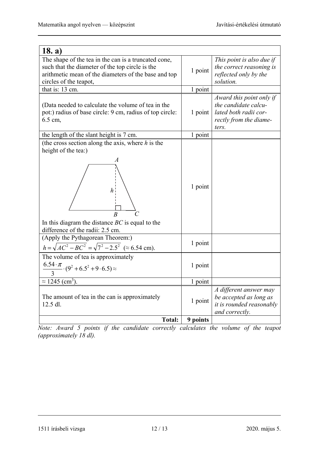| 18. a)                                                                                                                                                                                    |          |                                                                                                              |
|-------------------------------------------------------------------------------------------------------------------------------------------------------------------------------------------|----------|--------------------------------------------------------------------------------------------------------------|
| The shape of the tea in the can is a truncated cone,<br>such that the diameter of the top circle is the<br>arithmetic mean of the diameters of the base and top<br>circles of the teapot, | 1 point  | This point is also due if<br>the correct reasoning is<br>reflected only by the<br>solution.                  |
| that is: 13 cm.                                                                                                                                                                           | 1 point  |                                                                                                              |
| (Data needed to calculate the volume of tea in the<br>pot:) radius of base circle: 9 cm, radius of top circle:<br>6.5 cm,                                                                 | 1 point  | Award this point only if<br>the candidate calcu-<br>lated both radii cor-<br>rectly from the diame-<br>ters. |
| the length of the slant height is 7 cm.                                                                                                                                                   | 1 point  |                                                                                                              |
| (the cross section along the axis, where $h$ is the<br>height of the tea:)<br>In this diagram the distance $BC$ is equal to the<br>difference of the radii: 2.5 cm.                       | 1 point  |                                                                                                              |
| (Apply the Pythagorean Theorem:)<br>$h = \sqrt{AC^2 - BC^2} = \sqrt{7^2 - 2.5^2}$ ( $\approx 6.54$ cm).                                                                                   | 1 point  |                                                                                                              |
| The volume of tea is approximately<br>$\frac{6.54 \cdot \pi}{3} \cdot (9^2 + 6.5^2 + 9 \cdot 6.5) \approx$                                                                                | 1 point  |                                                                                                              |
| $\approx$ 1245 (cm <sup>3</sup> ).                                                                                                                                                        | 1 point  |                                                                                                              |
| The amount of tea in the can is approximately<br>12.5 dl.                                                                                                                                 | 1 point  | A different answer may<br>be accepted as long as<br>it is rounded reasonably<br>and correctly.               |
| <b>Total:</b>                                                                                                                                                                             | 9 points |                                                                                                              |

*Note: Award 5 points if the candidate correctly calculates the volume of the teapot (approximately 18 dl).* 

1511 írásbeli vizsga 12 / 13 2020. május 5.